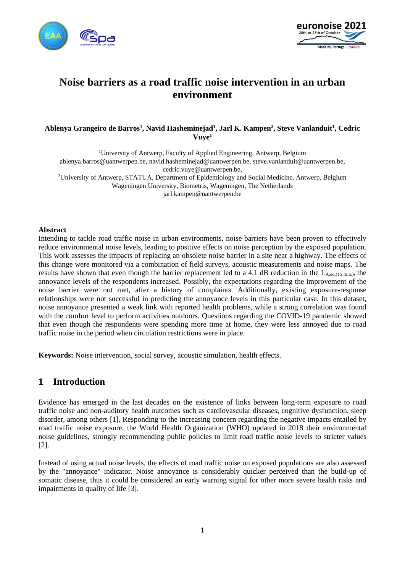



# **Noise barriers as a road traffic noise intervention in an urban environment**

#### **Ablenya Grangeiro de Barros<sup>1</sup> , Navid Hasheminejad<sup>1</sup> , Jarl K. Kampen<sup>2</sup> , Steve Vanlanduit<sup>1</sup> , Cedric Vuye<sup>1</sup>**

<sup>1</sup>University of Antwerp, Faculty of Applied Engineering, Antwerp, Belgium ablenya.barros@uantwerpen.be, navid.hasheminejad@uantwerpen.be, steve.vanlanduit@uantwerpen.be, cedric.vuye@uantwerpen.be, <sup>2</sup>University of Antwerp, STATUA, Department of Epidemiology and Social Medicine, Antwerp, Belgium Wageningen University, Biometris, Wageningen, The Netherlands

jarl.kampen@uantwerpen.be

#### **Abstract**

Intending to tackle road traffic noise in urban environments, noise barriers have been proven to effectively reduce environmental noise levels, leading to positive effects on noise perception by the exposed population. This work assesses the impacts of replacing an obsolete noise barrier in a site near a highway. The effects of this change were monitored via a combination of field surveys, acoustic measurements and noise maps. The results have shown that even though the barrier replacement led to a 4.1 dB reduction in the  $L_{A,eq,(15 \text{ min.})}$ , the annoyance levels of the respondents increased. Possibly, the expectations regarding the improvement of the noise barrier were not met, after a history of complaints. Additionally, existing exposure-response relationships were not successful in predicting the annoyance levels in this particular case. In this dataset, noise annoyance presented a weak link with reported health problems, while a strong correlation was found with the comfort level to perform activities outdoors. Questions regarding the COVID-19 pandemic showed that even though the respondents were spending more time at home, they were less annoyed due to road traffic noise in the period when circulation restrictions were in place.

**Keywords:** Noise intervention, social survey, acoustic simulation, health effects.

# **1 Introduction**

Evidence has emerged in the last decades on the existence of links between long-term exposure to road traffic noise and non-auditory health outcomes such as cardiovascular diseases, cognitive dysfunction, sleep disorder, among others [1]. Responding to the increasing concern regarding the negative impacts entailed by road traffic noise exposure, the World Health Organization (WHO) updated in 2018 their environmental noise guidelines, strongly recommending public policies to limit road traffic noise levels to stricter values [2].

Instead of using actual noise levels, the effects of road traffic noise on exposed populations are also assessed by the "annoyance" indicator. Noise annoyance is considerably quicker perceived than the build-up of somatic disease, thus it could be considered an early warning signal for other more severe health risks and impairments in quality of life [3].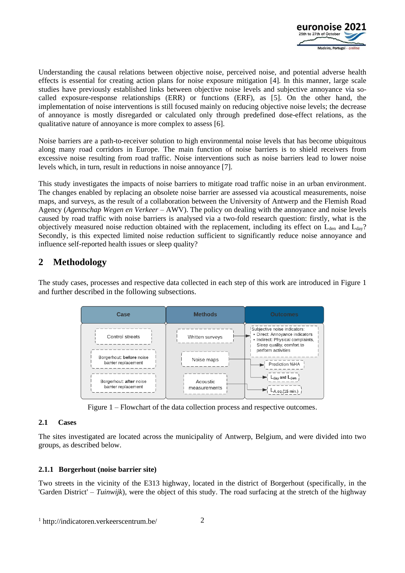

Understanding the causal relations between objective noise, perceived noise, and potential adverse health effects is essential for creating action plans for noise exposure mitigation [4]. In this manner, large scale studies have previously established links between objective noise levels and subjective annoyance via socalled exposure-response relationships (ERR) or functions (ERF), as [5]. On the other hand, the implementation of noise interventions is still focused mainly on reducing objective noise levels; the decrease of annoyance is mostly disregarded or calculated only through predefined dose-effect relations, as the qualitative nature of annoyance is more complex to assess [6].

Noise barriers are a path-to-receiver solution to high environmental noise levels that has become ubiquitous along many road corridors in Europe. The main function of noise barriers is to shield receivers from excessive noise resulting from road traffic. Noise interventions such as noise barriers lead to lower noise levels which, in turn, result in reductions in noise annoyance [7].

This study investigates the impacts of noise barriers to mitigate road traffic noise in an urban environment. The changes enabled by replacing an obsolete noise barrier are assessed via acoustical measurements, noise maps, and surveys, as the result of a collaboration between the University of Antwerp and the Flemish Road Agency (*Agentschap Wegen en Verkeer* – AWV). The policy on dealing with the annoyance and noise levels caused by road traffic with noise barriers is analysed via a two-fold research question: firstly, what is the objectively measured noise reduction obtained with the replacement, including its effect on  $L_{den}$  and  $L_{day}$ ? Secondly, is this expected limited noise reduction sufficient to significantly reduce noise annoyance and influence self-reported health issues or sleep quality?

# **2 Methodology**

The study cases, processes and respective data collected in each step of this work are introduced in Figure 1 and further described in the following subsections.



Figure 1 – Flowchart of the data collection process and respective outcomes.

#### **2.1 Cases**

The sites investigated are located across the municipality of Antwerp, Belgium, and were divided into two groups, as described below.

### **2.1.1 Borgerhout (noise barrier site)**

Two streets in the vicinity of the E313 highway, located in the district of Borgerhout (specifically, in the 'Garden District' – *Tuinwijk*), were the object of this study. The road surfacing at the stretch of the highway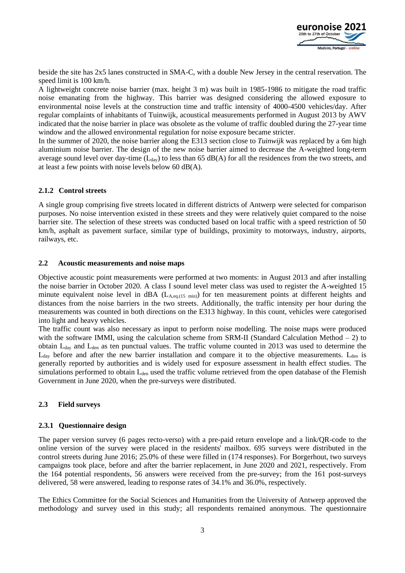

beside the site has 2x5 lanes constructed in SMA-C, with a double New Jersey in the central reservation. The speed limit is 100 km/h.

A lightweight concrete noise barrier (max. height 3 m) was built in 1985-1986 to mitigate the road traffic noise emanating from the highway. This barrier was designed considering the allowed exposure to environmental noise levels at the construction time and traffic intensity of 4000-4500 vehicles/day. After regular complaints of inhabitants of Tuinwijk, acoustical measurements performed in August 2013 by AWV indicated that the noise barrier in place was obsolete as the volume of traffic doubled during the 27-year time window and the allowed environmental regulation for noise exposure became stricter.

In the summer of 2020, the noise barrier along the E313 section close to *Tuinwijk* was replaced by a 6m high aluminium noise barrier. The design of the new noise barrier aimed to decrease the A-weighted long-term average sound level over day-time  $(L_{day})$  to less than 65 dB(A) for all the residences from the two streets, and at least a few points with noise levels below 60 dB(A).

#### **2.1.2 Control streets**

A single group comprising five streets located in different districts of Antwerp were selected for comparison purposes. No noise intervention existed in these streets and they were relatively quiet compared to the noise barrier site. The selection of these streets was conducted based on local traffic with a speed restriction of 50 km/h, asphalt as pavement surface, similar type of buildings, proximity to motorways, industry, airports, railways, etc.

#### **2.2 Acoustic measurements and noise maps**

Objective acoustic point measurements were performed at two moments: in August 2013 and after installing the noise barrier in October 2020. A class I sound level meter class was used to register the A-weighted 15 minute equivalent noise level in dBA (L<sub>A,eq.(15 min</sub>) for ten measurement points at different heights and distances from the noise barriers in the two streets. Additionally, the traffic intensity per hour during the measurements was counted in both directions on the E313 highway. In this count, vehicles were categorised into light and heavy vehicles.

The traffic count was also necessary as input to perform noise modelling. The noise maps were produced with the software IMMI, using the calculation scheme from SRM-II (Standard Calculation Method  $-2$ ) to obtain Lday and Lden as ten punctual values. The traffic volume counted in 2013 was used to determine the  $L_{day}$  before and after the new barrier installation and compare it to the objective measurements.  $L_{den}$  is generally reported by authorities and is widely used for exposure assessment in health effect studies. The simulations performed to obtain  $L_{den}$  used the traffic volume retrieved from the open database of the Flemish Government in June 2020, when the pre-surveys were distributed.

#### **2.3 Field surveys**

#### **2.3.1 Questionnaire design**

The paper version survey (6 pages recto-verso) with a pre-paid return envelope and a link/QR-code to the online version of the survey were placed in the residents' mailbox. 695 surveys were distributed in the control streets during June 2016; 25.0% of these were filled in (174 responses). For Borgerhout, two surveys campaigns took place, before and after the barrier replacement, in June 2020 and 2021, respectively. From the 164 potential respondents, 56 answers were received from the pre-survey; from the 161 post-surveys delivered, 58 were answered, leading to response rates of 34.1% and 36.0%, respectively.

The Ethics Committee for the Social Sciences and Humanities from the University of Antwerp approved the methodology and survey used in this study; all respondents remained anonymous. The questionnaire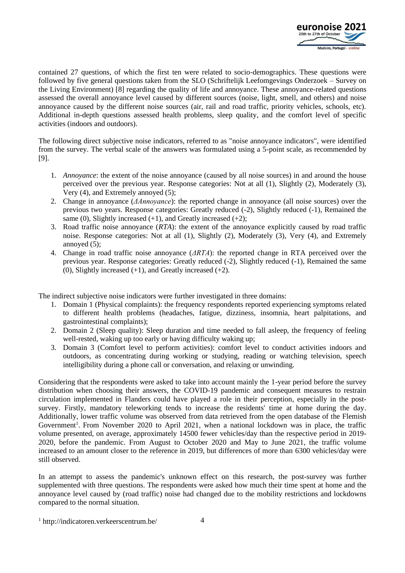

contained 27 questions, of which the first ten were related to socio-demographics. These questions were followed by five general questions taken from the SLO (Schriftelijk Leefomgevings Onderzoek – Survey on the Living Environment) [8] regarding the quality of life and annoyance. These annoyance-related questions assessed the overall annoyance level caused by different sources (noise, light, smell, and others) and noise annoyance caused by the different noise sources (air, rail and road traffic, priority vehicles, schools, etc). Additional in-depth questions assessed health problems, sleep quality, and the comfort level of specific activities (indoors and outdoors).

The following direct subjective noise indicators, referred to as "noise annoyance indicators", were identified from the survey. The verbal scale of the answers was formulated using a 5-point scale, as recommended by [9].

- 1. *Annoyance*: the extent of the noise annoyance (caused by all noise sources) in and around the house perceived over the previous year. Response categories: Not at all (1), Slightly (2), Moderately (3), Very (4), and Extremely annoyed (5);
- 2. Change in annoyance (*ΔAnnoyance*): the reported change in annoyance (all noise sources) over the previous two years. Response categories: Greatly reduced (-2), Slightly reduced (-1), Remained the same (0), Slightly increased (+1), and Greatly increased (+2);
- 3. Road traffic noise annoyance (*RTA*): the extent of the annoyance explicitly caused by road traffic noise. Response categories: Not at all (1), Slightly (2), Moderately (3), Very (4), and Extremely annoyed (5);
- 4. Change in road traffic noise annoyance (*ΔRTA*): the reported change in RTA perceived over the previous year. Response categories: Greatly reduced (-2), Slightly reduced (-1), Remained the same (0), Slightly increased  $(+1)$ , and Greatly increased  $(+2)$ .

The indirect subjective noise indicators were further investigated in three domains:

- 1. Domain 1 (Physical complaints): the frequency respondents reported experiencing symptoms related to different health problems (headaches, fatigue, dizziness, insomnia, heart palpitations, and gastrointestinal complaints);
- 2. Domain 2 (Sleep quality): Sleep duration and time needed to fall asleep, the frequency of feeling well-rested, waking up too early or having difficulty waking up;
- 3. Domain 3 (Comfort level to perform activities): comfort level to conduct activities indoors and outdoors, as concentrating during working or studying, reading or watching television, speech intelligibility during a phone call or conversation, and relaxing or unwinding.

Considering that the respondents were asked to take into account mainly the 1-year period before the survey distribution when choosing their answers, the COVID-19 pandemic and consequent measures to restrain circulation implemented in Flanders could have played a role in their perception, especially in the postsurvey. Firstly, mandatory teleworking tends to increase the residents' time at home during the day. Additionally, lower traffic volume was observed from data retrieved from the open database of the Flemish Government<sup>1</sup>. From November 2020 to April 2021, when a national lockdown was in place, the traffic volume presented, on average, approximately 14500 fewer vehicles/day than the respective period in 2019- 2020, before the pandemic. From August to October 2020 and May to June 2021, the traffic volume increased to an amount closer to the reference in 2019, but differences of more than 6300 vehicles/day were still observed.

In an attempt to assess the pandemic's unknown effect on this research, the post-survey was further supplemented with three questions. The respondents were asked how much their time spent at home and the annoyance level caused by (road traffic) noise had changed due to the mobility restrictions and lockdowns compared to the normal situation.

<sup>1</sup> http://indicatoren.verkeerscentrum.be/ 4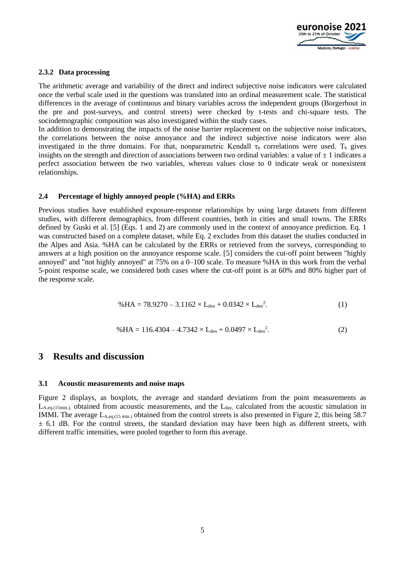

#### **2.3.2 Data processing**

The arithmetic average and variability of the direct and indirect subjective noise indicators were calculated once the verbal scale used in the questions was translated into an ordinal measurement scale. The statistical differences in the average of continuous and binary variables across the independent groups (Borgerhout in the pre and post-surveys, and control streets) were checked by t-tests and chi-square tests. The sociodemographic composition was also investigated within the study cases.

In addition to demonstrating the impacts of the noise barrier replacement on the subjective noise indicators, the correlations between the noise annoyance and the indirect subjective noise indicators were also investigated in the three domains. For that, nonparametric Kendall  $\tau_b$  correlations were used. T<sub>b</sub> gives insights on the strength and direction of associations between two ordinal variables: a value of  $\pm$  1 indicates a perfect association between the two variables, whereas values close to 0 indicate weak or nonexistent relationships.

#### **2.4 Percentage of highly annoyed people (%HA) and ERRs**

Previous studies have established exposure-response relationships by using large datasets from different studies, with different demographics, from different countries, both in cities and small towns. The ERRs defined by Guski et al. [5] (Eqs. 1 and 2) are commonly used in the context of annoyance prediction. Eq. 1 was constructed based on a complete dataset, while Eq. 2 excludes from this dataset the studies conducted in the Alpes and Asia. %HA can be calculated by the ERRs or retrieved from the surveys, corresponding to answers at a high position on the annoyance response scale. [5] considers the cut-off point between "highly annoyed" and "not highly annoyed" at 75% on a 0–100 scale. To measure %HA in this work from the verbal 5-point response scale, we considered both cases where the cut-off point is at 60% and 80% higher part of the response scale.

$$
% HA = 78.9270 - 3.1162 \times L_{den} + 0.0342 \times L_{den}^{2}.
$$
 (1)

$$
\% HA = 116.4304 - 4.7342 \times L_{den} + 0.0497 \times L_{den}^2. \tag{2}
$$

# **3 Results and discussion**

#### **3.1 Acoustic measurements and noise maps**

Figure 2 displays, as boxplots, the average and standard deviations from the point measurements as  $L_{A_{eq}}$  (15min.), obtained from acoustic measurements, and the  $L_{day}$  calculated from the acoustic simulation in IMMI. The average  $L_{A,eq,(15 \text{ min.})}$  obtained from the control streets is also presented in Figure 2, this being 58.7  $\pm$  6.1 dB. For the control streets, the standard deviation may have been high as different streets, with different traffic intensities, were pooled together to form this average.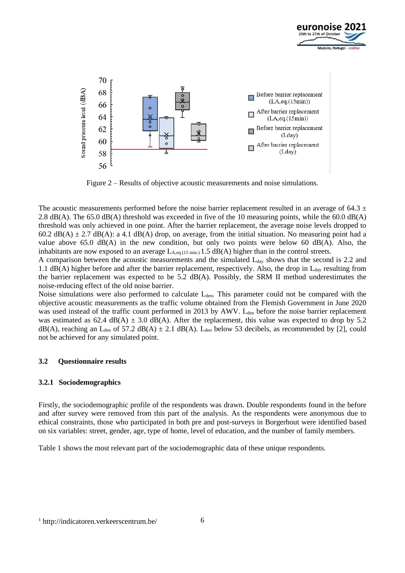



Figure 2 – Results of objective acoustic measurements and noise simulations.

The acoustic measurements performed before the noise barrier replacement resulted in an average of 64.3  $\pm$ 2.8 dB(A). The 65.0 dB(A) threshold was exceeded in five of the 10 measuring points, while the 60.0 dB(A) threshold was only achieved in one point. After the barrier replacement, the average noise levels dropped to 60.2 dB(A)  $\pm$  2.7 dB(A): a 4.1 dB(A) drop, on average, from the initial situation. No measuring point had a value above 65.0  $dB(A)$  in the new condition, but only two points were below 60  $dB(A)$ . Also, the inhabitants are now exposed to an average  $L_{A,eq,(15 \text{ min.})}$  1.5 dB(A) higher than in the control streets.

A comparison between the acoustic measurements and the simulated  $L_{day}$  shows that the second is 2.2 and 1.1  $dB(A)$  higher before and after the barrier replacement, respectively. Also, the drop in  $L_{day}$  resulting from the barrier replacement was expected to be 5.2 dB(A). Possibly, the SRM II method underestimates the noise-reducing effect of the old noise barrier.

Noise simulations were also performed to calculate L<sub>den</sub>. This parameter could not be compared with the objective acoustic measurements as the traffic volume obtained from the Flemish Government in June 2020 was used instead of the traffic count performed in 2013 by AWV. L<sub>den</sub> before the noise barrier replacement was estimated as 62.4 dB(A)  $\pm$  3.0 dB(A). After the replacement, this value was expected to drop by 5.2  $dB(A)$ , reaching an L<sub>den</sub> of 57.2 dB(A)  $\pm$  2.1 dB(A). L<sub>den</sub> below 53 decibels, as recommended by [2], could not be achieved for any simulated point.

#### **3.2 Questionnaire results**

#### **3.2.1 Sociodemographics**

Firstly, the sociodemographic profile of the respondents was drawn. Double respondents found in the before and after survey were removed from this part of the analysis. As the respondents were anonymous due to ethical constraints, those who participated in both pre and post-surveys in Borgerhout were identified based on six variables: street, gender, age, type of home, level of education, and the number of family members.

Table 1 shows the most relevant part of the sociodemographic data of these unique respondents.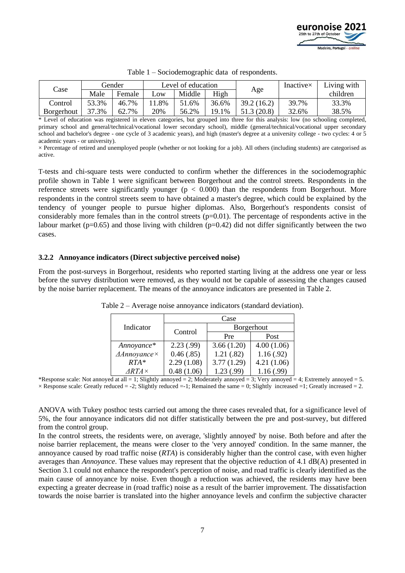

| Case       | Gender |        | Level of education |        |       |             | Inactive $\times$ | Living with |
|------------|--------|--------|--------------------|--------|-------|-------------|-------------------|-------------|
|            | Male   | Female | $L$ <sup>OW</sup>  | Middle | High  | Age         |                   | children    |
| Control    | 53.3%  | 46.7%  | .8%                | 51.6%  | 36.6% | 39.2 (16.2) | 39.7%             | 33.3%       |
| Borgerhout | $.3\%$ | 62.7%  | 20%                | 56.2%  | 19.1% | 51.3 (20.8) | 32.6%             | 38.5%       |

|  | Table 1 – Sociodemographic data of respondents. |  |  |  |
|--|-------------------------------------------------|--|--|--|
|--|-------------------------------------------------|--|--|--|

\* Level of education was registered in eleven categories, but grouped into three for this analysis: low (no schooling completed, primary school and general/technical/vocational lower secondary school), middle (general/technical/vocational upper secondary school and bachelor's degree - one cycle of 3 academic years), and high (master's degree at a university college - two cycles: 4 or 5 academic years - or university).

 $\times$  Percentage of retired and unemployed people (whether or not looking for a job). All others (including students) are categorised as active.

T-tests and chi-square tests were conducted to confirm whether the differences in the sociodemographic profile shown in Table 1 were significant between Borgerhout and the control streets. Respondents in the reference streets were significantly younger ( $p < 0.000$ ) than the respondents from Borgerhout. More respondents in the control streets seem to have obtained a master's degree, which could be explained by the tendency of younger people to pursue higher diplomas. Also, Borgerhout's respondents consist of considerably more females than in the control streets  $(p=0.01)$ . The percentage of respondents active in the labour market ( $p=0.65$ ) and those living with children ( $p=0.42$ ) did not differ significantly between the two cases.

#### **3.2.2 Annoyance indicators (Direct subjective perceived noise)**

From the post-surveys in Borgerhout, residents who reported starting living at the address one year or less before the survey distribution were removed, as they would not be capable of assessing the changes caused by the noise barrier replacement. The means of the annoyance indicators are presented in Table 2.

|                                | Case       |            |            |  |  |  |  |
|--------------------------------|------------|------------|------------|--|--|--|--|
| Indicator                      | Control    | Borgerhout |            |  |  |  |  |
|                                |            | Pre        | Post       |  |  |  |  |
| Annoyance*                     | 2.23(.99)  | 3.66(1.20) | 4.00(1.06) |  |  |  |  |
| $\triangle$ Annoyance $\times$ | 0.46(.85)  | 1.21(.82)  | 1.16(.92)  |  |  |  |  |
| $RTA*$                         | 2.29(1.08) | 3.77(1.29) | 4.21(1.06) |  |  |  |  |
| $ARTA \times$                  | 0.48(1.06) | 1.23(.99)  | 1.16(.99)  |  |  |  |  |

Table 2 – Average noise annoyance indicators (standard deviation).

\*Response scale: Not annoyed at all = 1; Slightly annoyed = 2; Moderately annoyed = 3; Very annoyed = 4; Extremely annoyed = 5.  $\times$  Response scale: Greatly reduced = -2; Slightly reduced = -1; Remained the same = 0; Slightly increased = 1; Greatly increased = 2.

ANOVA with Tukey posthoc tests carried out among the three cases revealed that, for a significance level of 5%, the four annoyance indicators did not differ statistically between the pre and post-survey, but differed from the control group.

In the control streets, the residents were, on average, 'slightly annoyed' by noise. Both before and after the noise barrier replacement, the means were closer to the 'very annoyed' condition. In the same manner, the annoyance caused by road traffic noise (*RTA*) is considerably higher than the control case, with even higher averages than *Annoyance*. These values may represent that the objective reduction of 4.1 dB(A) presented in Section 3.1 could not enhance the respondent's perception of noise, and road traffic is clearly identified as the main cause of annoyance by noise. Even though a reduction was achieved, the residents may have been expecting a greater decrease in (road traffic) noise as a result of the barrier improvement. The dissatisfaction towards the noise barrier is translated into the higher annoyance levels and confirm the subjective character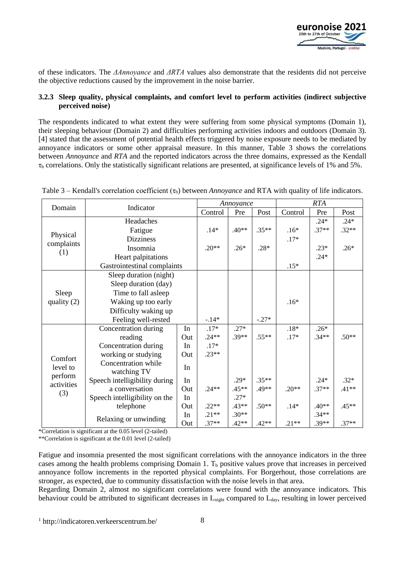

of these indicators. The *ΔAnnoyance* and *ΔRTA* values also demonstrate that the residents did not perceive the objective reductions caused by the improvement in the noise barrier.

#### **3.2.3 Sleep quality, physical complaints, and comfort level to perform activities (indirect subjective perceived noise)**

The respondents indicated to what extent they were suffering from some physical symptoms (Domain 1), their sleeping behaviour (Domain 2) and difficulties performing activities indoors and outdoors (Domain 3). [4] stated that the assessment of potential health effects triggered by noise exposure needs to be mediated by annoyance indicators or some other appraisal measure. In this manner, Table 3 shows the correlations between *Annoyance* and *RTA* and the reported indicators across the three domains, expressed as the Kendall  $\tau_b$  correlations. Only the statistically significant relations are presented, at significance levels of 1% and 5%.

| Domain                                   | Indicator                                |         | Annoyance |         |         | <b>RTA</b> |         |         |
|------------------------------------------|------------------------------------------|---------|-----------|---------|---------|------------|---------|---------|
|                                          |                                          |         | Control   | Pre     | Post    | Control    | Pre     | Post    |
|                                          | Headaches                                |         |           |         |         |            | $.24*$  | $.24*$  |
|                                          | Fatigue                                  | $.14*$  | $.40**$   | $.35**$ | $.16*$  | $.37**$    | $.32**$ |         |
| Physical                                 | <b>Dizziness</b>                         |         |           |         | $.17*$  |            |         |         |
| complaints                               | Insomnia                                 | $.20**$ | $.26*$    | $.28*$  |         | $.23*$     | $.26*$  |         |
| (1)                                      | Heart palpitations                       |         |           |         |         | $.24*$     |         |         |
|                                          | Gastrointestinal complaints              |         |           |         | $.15*$  |            |         |         |
|                                          | Sleep duration (night)                   |         |           |         |         |            |         |         |
|                                          | Sleep duration (day)                     |         |           |         |         |            |         |         |
| Sleep                                    | Time to fall asleep                      |         |           |         |         |            |         |         |
| quality (2)                              | Waking up too early                      |         |           |         | $.16*$  |            |         |         |
|                                          | Difficulty waking up                     |         |           |         |         |            |         |         |
|                                          | Feeling well-rested                      | $-14*$  |           | $-.27*$ |         |            |         |         |
|                                          | Concentration during                     | In      | $.17*$    | $.27*$  |         | $.18*$     | $.26*$  |         |
|                                          | reading                                  | Out     | $.24**$   | $.39**$ | $.55**$ | $.17*$     | $.34**$ | $.50**$ |
|                                          | Concentration during                     | In      | $.17*$    |         |         |            |         |         |
| Comfort                                  | working or studying<br>Out               |         | $.23**$   |         |         |            |         |         |
| level to<br>perform<br>activities<br>(3) | Concentration while<br>In<br>watching TV |         |           |         |         |            |         |         |
|                                          |                                          |         |           |         |         |            |         |         |
|                                          | Speech intelligibility during            | In      |           | $.29*$  | $.35**$ |            | $.24*$  | $.32*$  |
|                                          | a conversation<br>Out                    |         | $.24**$   | $.45**$ | .49**   | $.20**$    | $.37**$ | $.41**$ |
|                                          | Speech intelligibility on the            | In      |           | $.27*$  |         |            |         |         |
|                                          | telephone                                | Out     | $.22**$   | $.43**$ | $.50**$ | $.14*$     | $.40**$ | $.45**$ |
|                                          | Relaxing or unwinding                    | In      | $.21**$   | $.30**$ |         |            | $.34**$ |         |
|                                          |                                          | Out     | $.37**$   | $.42**$ | $.42**$ | $.21**$    | $.39**$ | $.37**$ |

Table 3 – Kendall's correlation coefficient (τ<sub>b</sub>) between *Annoyance* and RTA with quality of life indicators.

\*Correlation is significant at the 0.05 level (2-tailed)

\*\*Correlation is significant at the 0.01 level (2-tailed)

Fatigue and insomnia presented the most significant correlations with the annoyance indicators in the three cases among the health problems comprising Domain 1.  $T<sub>b</sub>$  positive values prove that increases in perceived annoyance follow increments in the reported physical complaints. For Borgerhout, those correlations are stronger, as expected, due to community dissatisfaction with the noise levels in that area.

Regarding Domain 2, almost no significant correlations were found with the annoyance indicators. This behaviour could be attributed to significant decreases in  $L_{\text{ni}$ ent compared to  $L_{\text{dav}}$ , resulting in lower perceived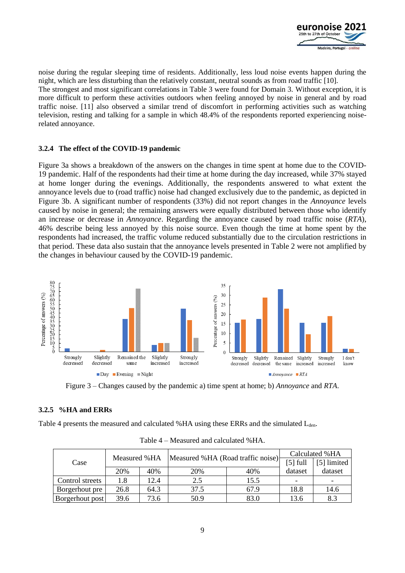

noise during the regular sleeping time of residents. Additionally, less loud noise events happen during the night, which are less disturbing than the relatively constant, neutral sounds as from road traffic [10]. The strongest and most significant correlations in Table 3 were found for Domain 3. Without exception, it is more difficult to perform these activities outdoors when feeling annoyed by noise in general and by road traffic noise. [11] also observed a similar trend of discomfort in performing activities such as watching television, resting and talking for a sample in which 48.4% of the respondents reported experiencing noiserelated annoyance.

#### **3.2.4 The effect of the COVID-19 pandemic**

Figure 3a shows a breakdown of the answers on the changes in time spent at home due to the COVID-19 pandemic. Half of the respondents had their time at home during the day increased, while 37% stayed at home longer during the evenings. Additionally, the respondents answered to what extent the annoyance levels due to (road traffic) noise had changed exclusively due to the pandemic, as depicted in Figure 3b. A significant number of respondents (33%) did not report changes in the *Annoyance* levels caused by noise in general; the remaining answers were equally distributed between those who identify an increase or decrease in *Annoyance*. Regarding the annoyance caused by road traffic noise (*RTA*), 46% describe being less annoyed by this noise source. Even though the time at home spent by the respondents had increased, the traffic volume reduced substantially due to the circulation restrictions in that period. These data also sustain that the annoyance levels presented in Table 2 were not amplified by the changes in behaviour caused by the COVID-19 pandemic.



Figure 3 – Changes caused by the pandemic a) time spent at home; b) *Annoyance* and *RTA*.

#### **3.2.5 %HA and ERRs**

Table 4 presents the measured and calculated %HA using these ERRs and the simulated  $L_{den}$ .

|                 |              |      | Measured %HA (Road traffic noise) | Calculated % HA |             |         |
|-----------------|--------------|------|-----------------------------------|-----------------|-------------|---------|
| Case            | Measured %HA |      |                                   | $[5]$ full      | [5] limited |         |
|                 | 20%          | 40%  | 20%                               | 40%             | dataset     | dataset |
| Control streets | 1.8          | 12.4 | 2.5                               | 15.5            |             |         |
| Borgerhout pre  | 26.8         | 64.3 | 37.5                              | 67.9            | 18.8        | 14.6    |
| Borgerhout post | 39.6         | 73.6 | 50.9                              | 83.0            | 13.6        | 8.3     |

Table 4 – Measured and calculated %HA.